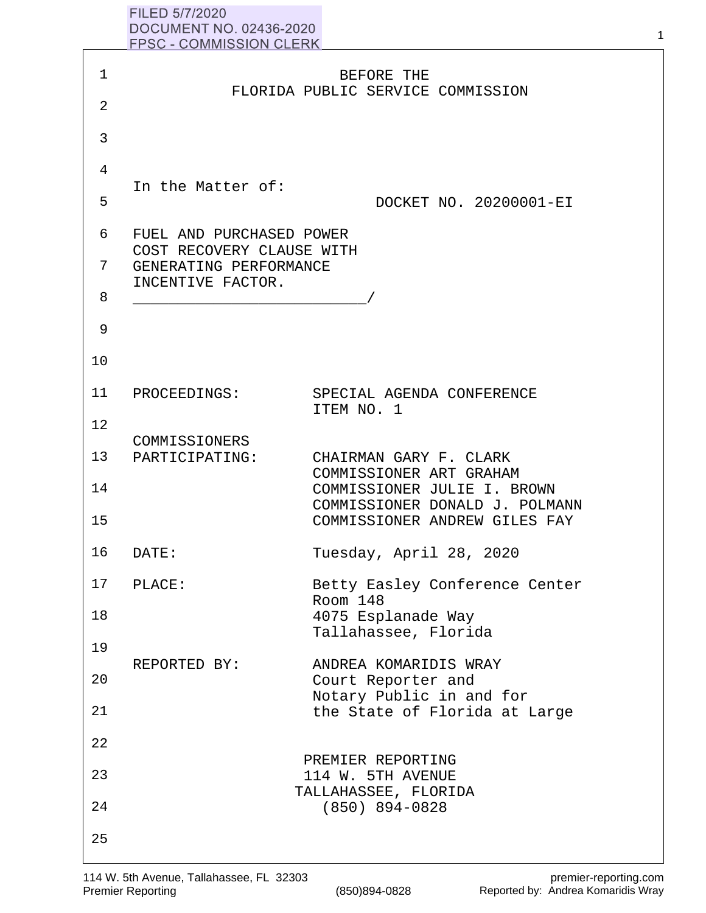| FILED 5/7/2020                 |  |
|--------------------------------|--|
| DOCUMENT NO. 02436-2020        |  |
| <b>FPSC - COMMISSION CLERK</b> |  |

|              | DUUUMENT NU. 02430-2020<br><b>FPSC - COMMISSION CLERK</b> |                                                               |
|--------------|-----------------------------------------------------------|---------------------------------------------------------------|
|              |                                                           |                                                               |
| $\mathbf{1}$ |                                                           | BEFORE THE<br>FLORIDA PUBLIC SERVICE COMMISSION               |
| 2            |                                                           |                                                               |
| 3            |                                                           |                                                               |
| 4            |                                                           |                                                               |
| 5            | In the Matter of:                                         | DOCKET NO. 20200001-EI                                        |
| 6            | FUEL AND PURCHASED POWER                                  |                                                               |
| 7            | COST RECOVERY CLAUSE WITH<br>GENERATING PERFORMANCE       |                                                               |
| 8            | INCENTIVE FACTOR.                                         |                                                               |
| 9            |                                                           |                                                               |
| 10           |                                                           |                                                               |
| 11           | PROCEEDINGS:                                              | SPECIAL AGENDA CONFERENCE<br>ITEM NO. 1                       |
| 12           |                                                           |                                                               |
| 13           | COMMISSIONERS<br>PARTICIPATING:                           | CHAIRMAN GARY F. CLARK                                        |
|              |                                                           | COMMISSIONER ART GRAHAM                                       |
| 14           |                                                           | COMMISSIONER JULIE I. BROWN<br>COMMISSIONER DONALD J. POLMANN |
| 15           |                                                           | COMMISSIONER ANDREW GILES FAY                                 |
| 16           | DATE:                                                     | Tuesday, April 28, 2020                                       |
| 17           | PLACE:                                                    | Betty Easley Conference Center<br>Room 148                    |
| 18           |                                                           | 4075 Esplanade Way                                            |
| 19           |                                                           | Tallahassee, Florida                                          |
| 20           | REPORTED BY:                                              | ANDREA KOMARIDIS WRAY<br>Court Reporter and                   |
| 21           |                                                           | Notary Public in and for<br>the State of Florida at Large     |
|              |                                                           |                                                               |
| 22           |                                                           | PREMIER REPORTING                                             |
| 23           |                                                           | 114 W. 5TH AVENUE                                             |
| 24           |                                                           | TALLAHASSEE, FLORIDA<br>$(850)$ 894-0828                      |
| 25           |                                                           |                                                               |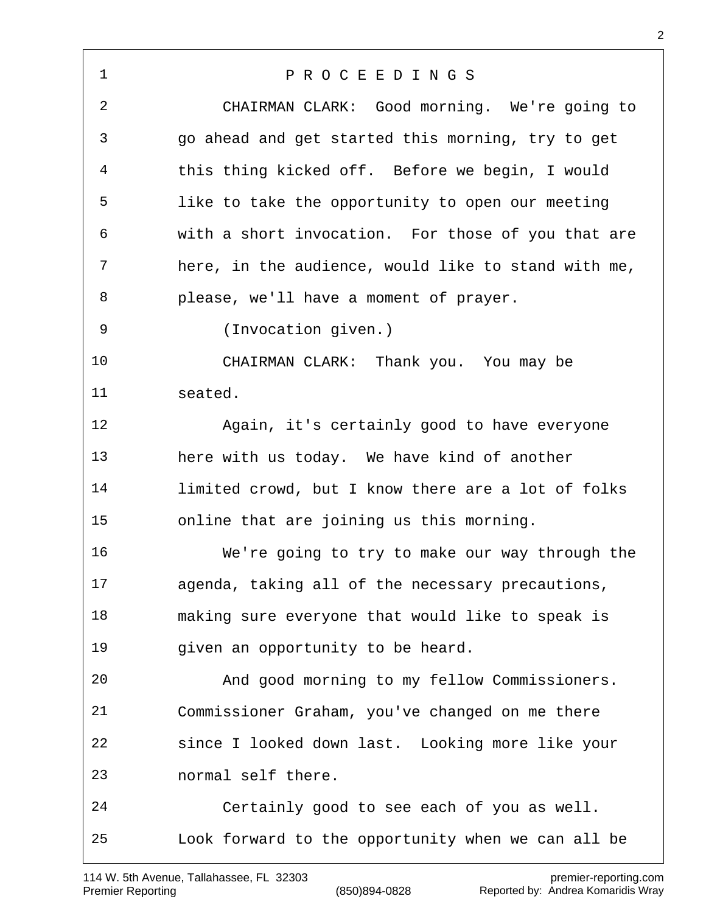| 1          | PROCEEDINGS                                         |
|------------|-----------------------------------------------------|
| $\sqrt{2}$ | CHAIRMAN CLARK: Good morning. We're going to        |
| 3          | go ahead and get started this morning, try to get   |
| 4          | this thing kicked off. Before we begin, I would     |
| 5          | like to take the opportunity to open our meeting    |
| 6          | with a short invocation. For those of you that are  |
| 7          | here, in the audience, would like to stand with me, |
| 8          | please, we'll have a moment of prayer.              |
| 9          | (Invocation given.)                                 |
| 10         | CHAIRMAN CLARK: Thank you. You may be               |
| 11         | seated.                                             |
| 12         | Again, it's certainly good to have everyone         |
| 13         | here with us today. We have kind of another         |
| 14         | limited crowd, but I know there are a lot of folks  |
| 15         | online that are joining us this morning.            |
| 16         | We're going to try to make our way through the      |
| 17         | agenda, taking all of the necessary precautions,    |
| 18         | making sure everyone that would like to speak is    |
| 19         | given an opportunity to be heard.                   |
| 20         | And good morning to my fellow Commissioners.        |
| 21         | Commissioner Graham, you've changed on me there     |
| 22         | since I looked down last. Looking more like your    |
| 23         | normal self there.                                  |
| 24         | Certainly good to see each of you as well.          |
| 25         | Look forward to the opportunity when we can all be  |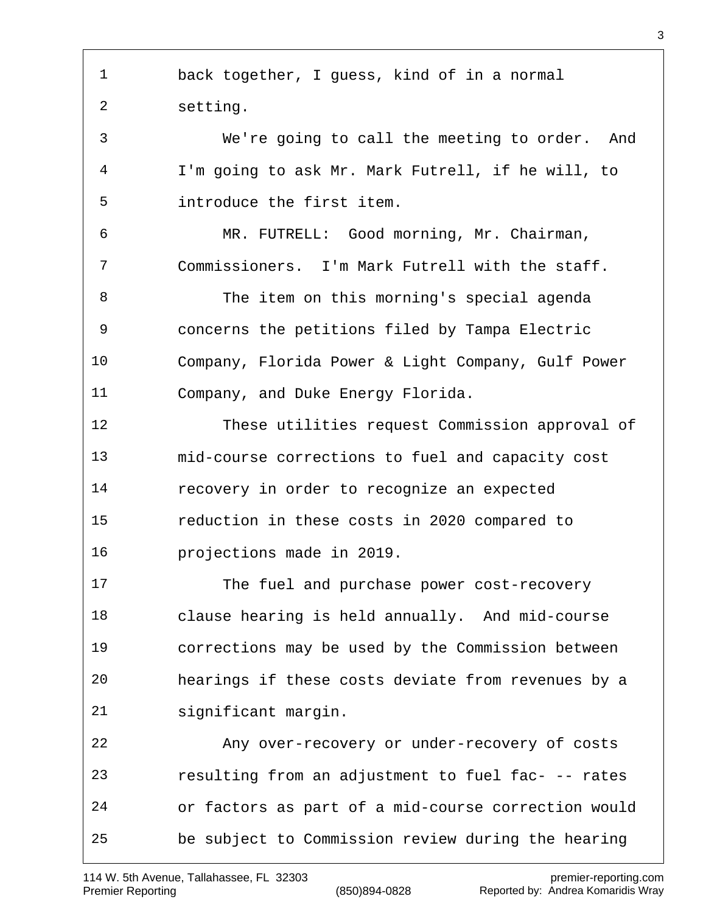back together, I guess, kind of in a normal setting. We're going to call the meeting to order. And I'm going to ask Mr. Mark Futrell, if he will, to introduce the first item. MR. FUTRELL: Good morning, Mr. Chairman, Commissioners. I'm Mark Futrell with the staff. The item on this morning's special agenda concerns the petitions filed by Tampa Electric Company, Florida Power & Light Company, Gulf Power Company, and Duke Energy Florida. These utilities request Commission approval of mid-course corrections to fuel and capacity cost recovery in order to recognize an expected reduction in these costs in 2020 compared to projections made in 2019. The fuel and purchase power cost-recovery clause hearing is held annually. And mid-course corrections may be used by the Commission between hearings if these costs deviate from revenues by a significant margin. Any over-recovery or under-recovery of costs resulting from an adjustment to fuel fac- -- rates or factors as part of a mid-course correction would be subject to Commission review during the hearing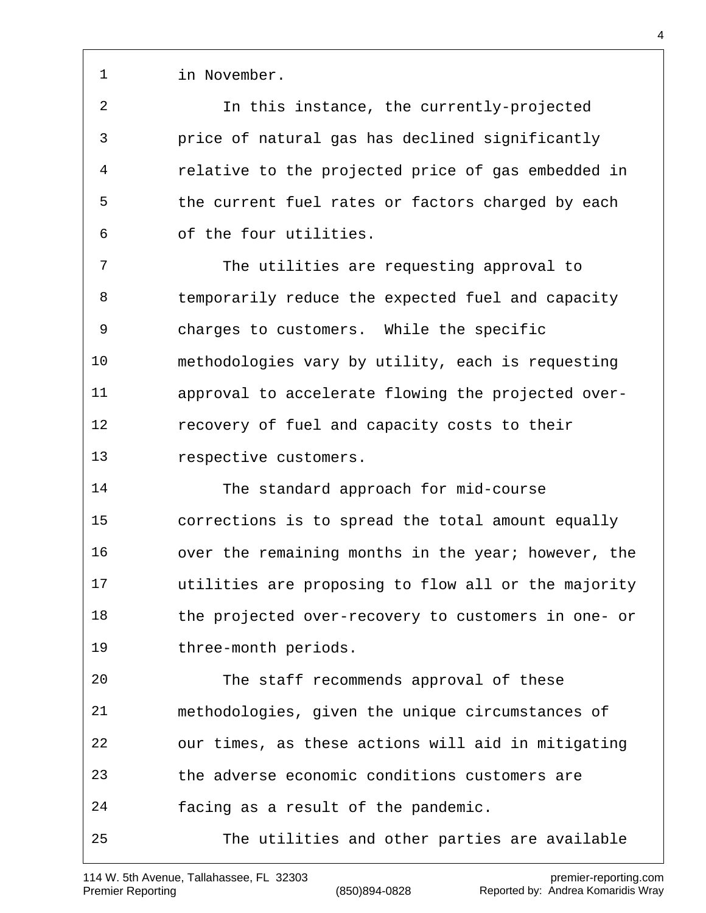in November.

 In this instance, the currently-projected price of natural gas has declined significantly relative to the projected price of gas embedded in 5 the current fuel rates or factors charged by each of the four utilities.

 The utilities are requesting approval to temporarily reduce the expected fuel and capacity charges to customers. While the specific methodologies vary by utility, each is requesting approval to accelerate flowing the projected over- recovery of fuel and capacity costs to their respective customers.

 The standard approach for mid-course corrections is to spread the total amount equally 16 over the remaining months in the year; however, the utilities are proposing to flow all or the majority the projected over-recovery to customers in one- or three-month periods.

 The staff recommends approval of these methodologies, given the unique circumstances of our times, as these actions will aid in mitigating the adverse economic conditions customers are facing as a result of the pandemic. The utilities and other parties are available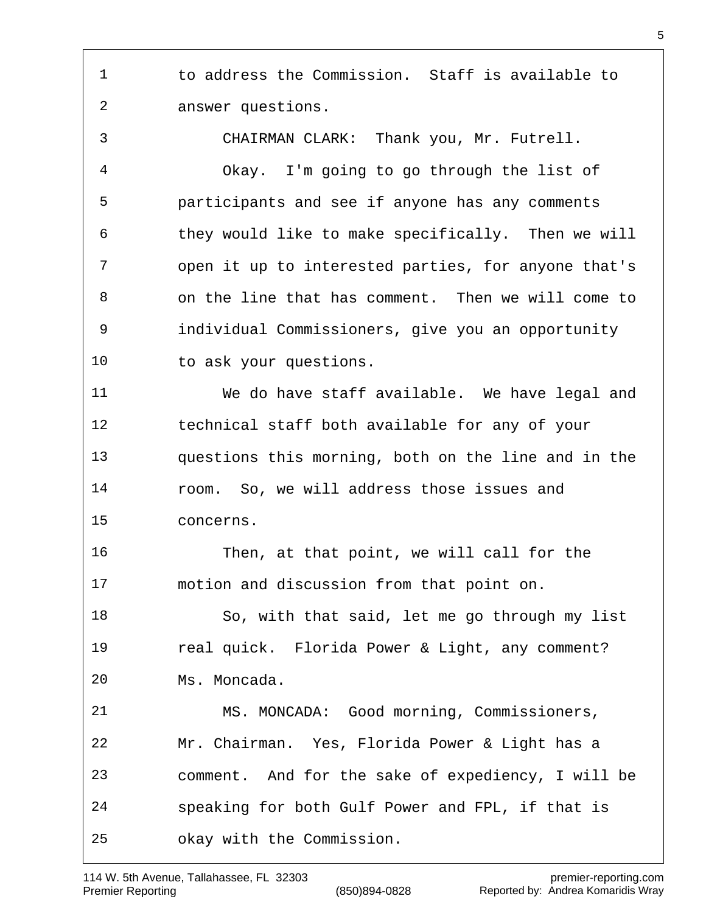to address the Commission. Staff is available to answer questions.

 CHAIRMAN CLARK: Thank you, Mr. Futrell. Okay. I'm going to go through the list of participants and see if anyone has any comments they would like to make specifically. Then we will open it up to interested parties, for anyone that's on the line that has comment. Then we will come to individual Commissioners, give you an opportunity to ask your questions.

 We do have staff available. We have legal and technical staff both available for any of your questions this morning, both on the line and in the room. So, we will address those issues and concerns.

 Then, at that point, we will call for the motion and discussion from that point on.

 So, with that said, let me go through my list real quick. Florida Power & Light, any comment? Ms. Moncada.

 MS. MONCADA: Good morning, Commissioners, Mr. Chairman. Yes, Florida Power & Light has a comment. And for the sake of expediency, I will be speaking for both Gulf Power and FPL, if that is okay with the Commission.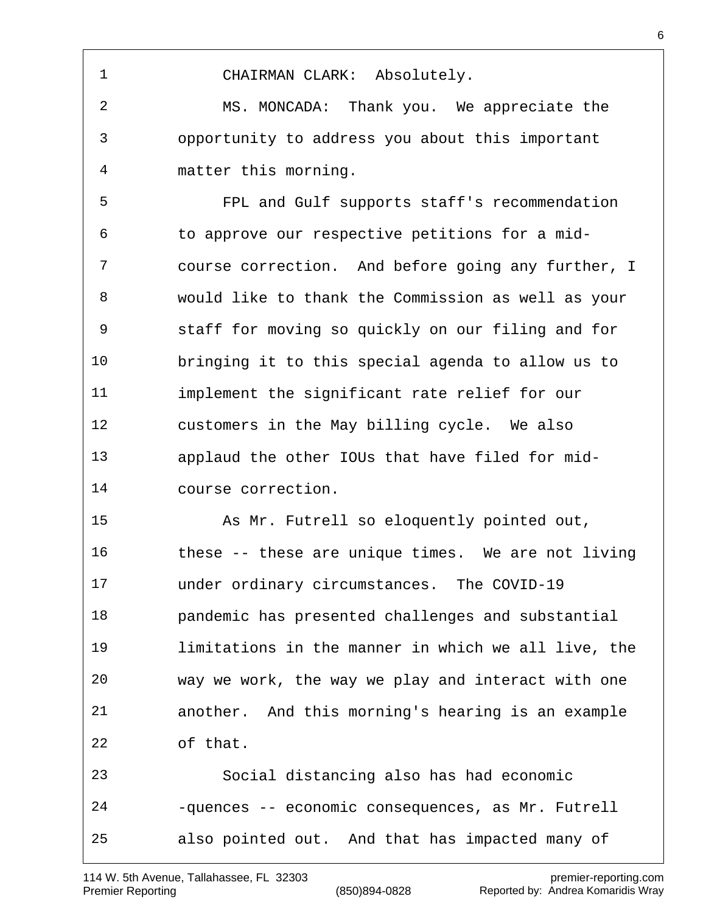MS. MONCADA: Thank you. We appreciate the opportunity to address you about this important matter this morning. FPL and Gulf supports staff's recommendation to approve our respective petitions for a mid- course correction. And before going any further, I would like to thank the Commission as well as your staff for moving so quickly on our filing and for bringing it to this special agenda to allow us to implement the significant rate relief for our customers in the May billing cycle. We also applaud the other IOUs that have filed for mid- course correction. As Mr. Futrell so eloquently pointed out, these -- these are unique times. We are not living under ordinary circumstances. The COVID-19 pandemic has presented challenges and substantial limitations in the manner in which we all live, the way we work, the way we play and interact with one another. And this morning's hearing is an example of that. Social distancing also has had economic -quences -- economic consequences, as Mr. Futrell also pointed out. And that has impacted many of

CHAIRMAN CLARK: Absolutely.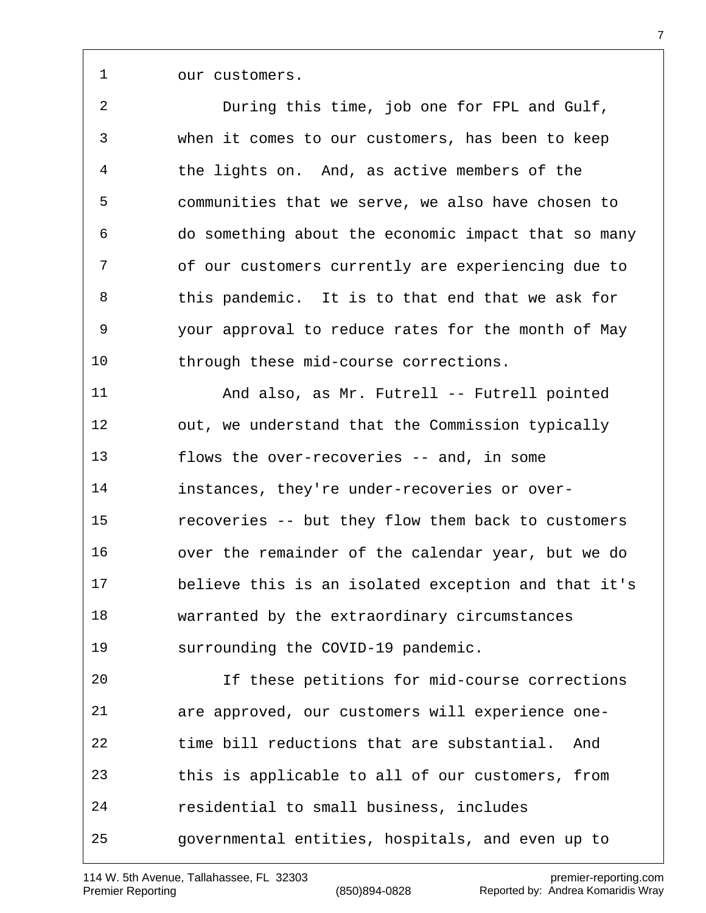our customers.

 During this time, job one for FPL and Gulf, when it comes to our customers, has been to keep the lights on. And, as active members of the communities that we serve, we also have chosen to do something about the economic impact that so many of our customers currently are experiencing due to this pandemic. It is to that end that we ask for your approval to reduce rates for the month of May through these mid-course corrections. And also, as Mr. Futrell -- Futrell pointed 12 out, we understand that the Commission typically flows the over-recoveries -- and, in some instances, they're under-recoveries or over- recoveries -- but they flow them back to customers over the remainder of the calendar year, but we do believe this is an isolated exception and that it's warranted by the extraordinary circumstances surrounding the COVID-19 pandemic. If these petitions for mid-course corrections are approved, our customers will experience one- time bill reductions that are substantial. And this is applicable to all of our customers, from residential to small business, includes

governmental entities, hospitals, and even up to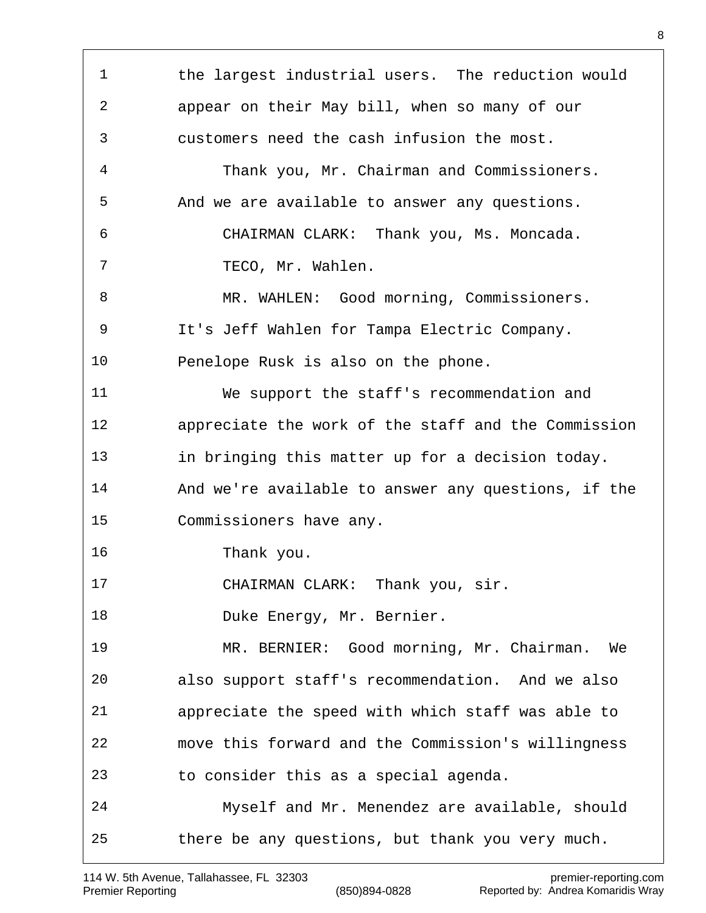1 the largest industrial users. The reduction would appear on their May bill, when so many of our customers need the cash infusion the most. Thank you, Mr. Chairman and Commissioners. And we are available to answer any questions. CHAIRMAN CLARK: Thank you, Ms. Moncada. TECO, Mr. Wahlen. 8 MR. WAHLEN: Good morning, Commissioners. It's Jeff Wahlen for Tampa Electric Company. Penelope Rusk is also on the phone. We support the staff's recommendation and appreciate the work of the staff and the Commission in bringing this matter up for a decision today. And we're available to answer any questions, if the Commissioners have any. Thank you. 17 CHAIRMAN CLARK: Thank you, sir. 18 Duke Energy, Mr. Bernier. MR. BERNIER: Good morning, Mr. Chairman. We also support staff's recommendation. And we also appreciate the speed with which staff was able to move this forward and the Commission's willingness to consider this as a special agenda. Myself and Mr. Menendez are available, should there be any questions, but thank you very much.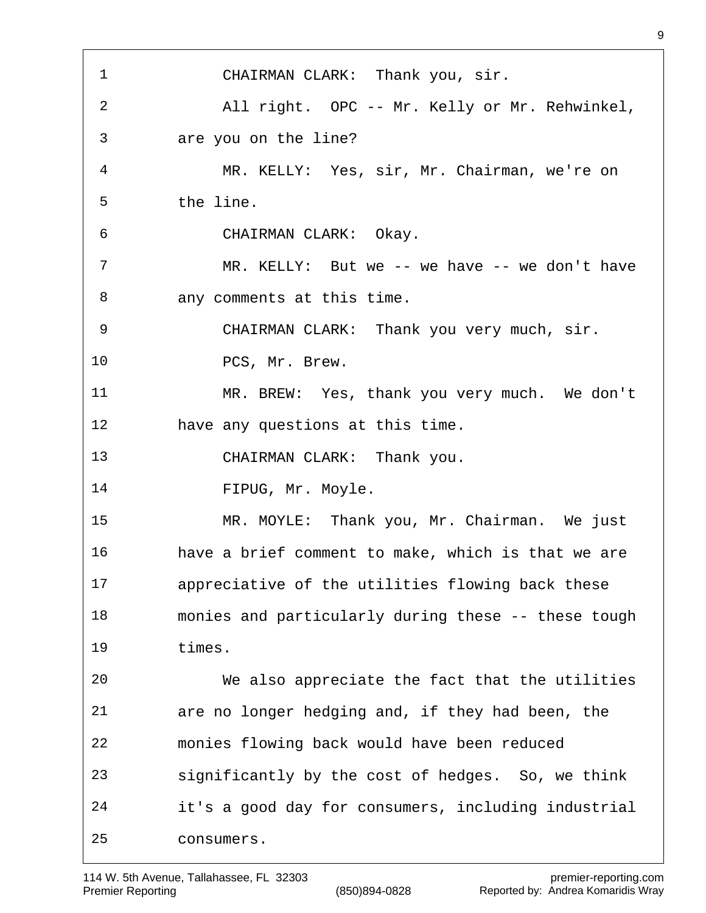CHAIRMAN CLARK: Thank you, sir. All right. OPC -- Mr. Kelly or Mr. Rehwinkel, are you on the line? MR. KELLY: Yes, sir, Mr. Chairman, we're on the line. CHAIRMAN CLARK: Okay. MR. KELLY: But we -- we have -- we don't have any comments at this time. CHAIRMAN CLARK: Thank you very much, sir. 10 PCS, Mr. Brew. MR. BREW: Yes, thank you very much. We don't have any questions at this time. CHAIRMAN CLARK: Thank you. 14 FIPUG, Mr. Moyle. MR. MOYLE: Thank you, Mr. Chairman. We just have a brief comment to make, which is that we are appreciative of the utilities flowing back these monies and particularly during these -- these tough times. We also appreciate the fact that the utilities are no longer hedging and, if they had been, the monies flowing back would have been reduced significantly by the cost of hedges. So, we think it's a good day for consumers, including industrial consumers.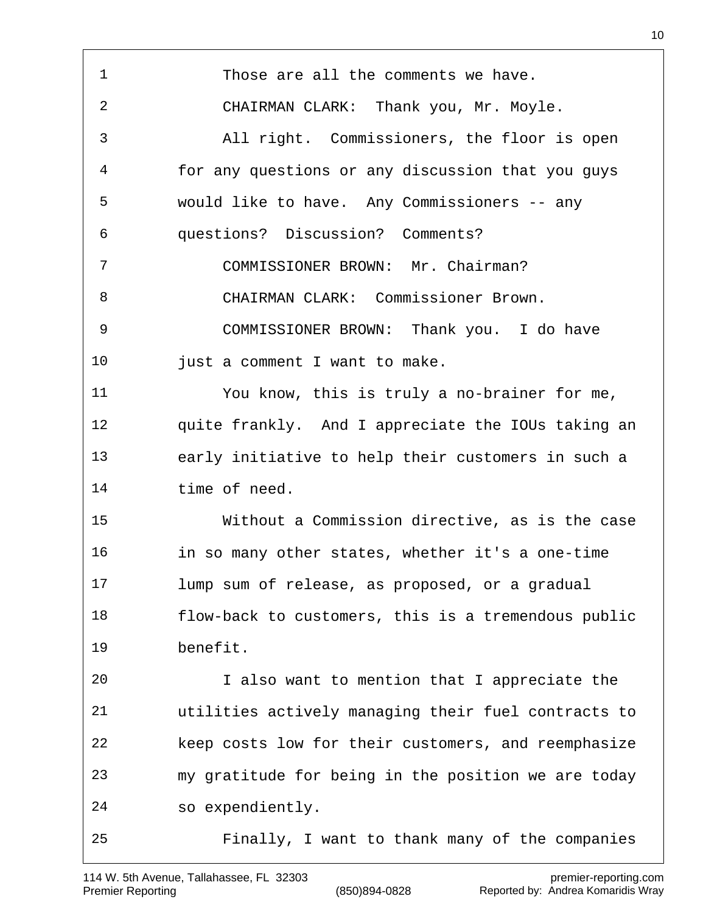Those are all the comments we have. CHAIRMAN CLARK: Thank you, Mr. Moyle. All right. Commissioners, the floor is open for any questions or any discussion that you guys would like to have. Any Commissioners -- any questions? Discussion? Comments? COMMISSIONER BROWN: Mr. Chairman? CHAIRMAN CLARK: Commissioner Brown. COMMISSIONER BROWN: Thank you. I do have 10 just a comment I want to make. You know, this is truly a no-brainer for me, quite frankly. And I appreciate the IOUs taking an early initiative to help their customers in such a time of need. Without a Commission directive, as is the case in so many other states, whether it's a one-time lump sum of release, as proposed, or a gradual flow-back to customers, this is a tremendous public benefit. I also want to mention that I appreciate the utilities actively managing their fuel contracts to keep costs low for their customers, and reemphasize my gratitude for being in the position we are today so expendiently. Finally, I want to thank many of the companies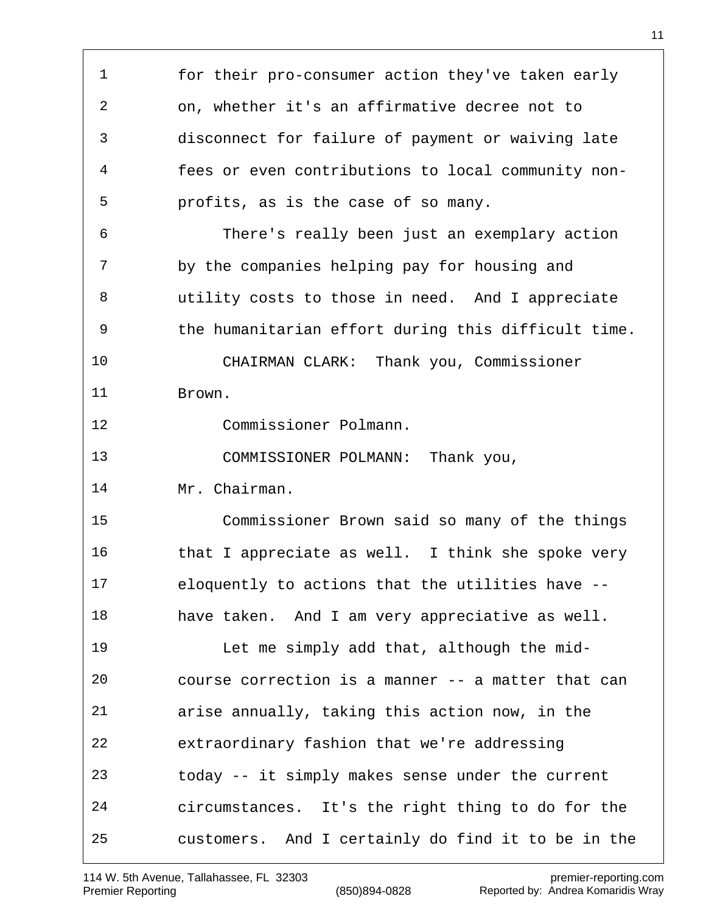for their pro-consumer action they've taken early on, whether it's an affirmative decree not to disconnect for failure of payment or waiving late fees or even contributions to local community non- profits, as is the case of so many. There's really been just an exemplary action by the companies helping pay for housing and utility costs to those in need. And I appreciate the humanitarian effort during this difficult time. CHAIRMAN CLARK: Thank you, Commissioner Brown. Commissioner Polmann. COMMISSIONER POLMANN: Thank you, Mr. Chairman. Commissioner Brown said so many of the things that I appreciate as well. I think she spoke very eloquently to actions that the utilities have -- have taken. And I am very appreciative as well. Let me simply add that, although the mid- course correction is a manner -- a matter that can arise annually, taking this action now, in the extraordinary fashion that we're addressing today -- it simply makes sense under the current circumstances. It's the right thing to do for the customers. And I certainly do find it to be in the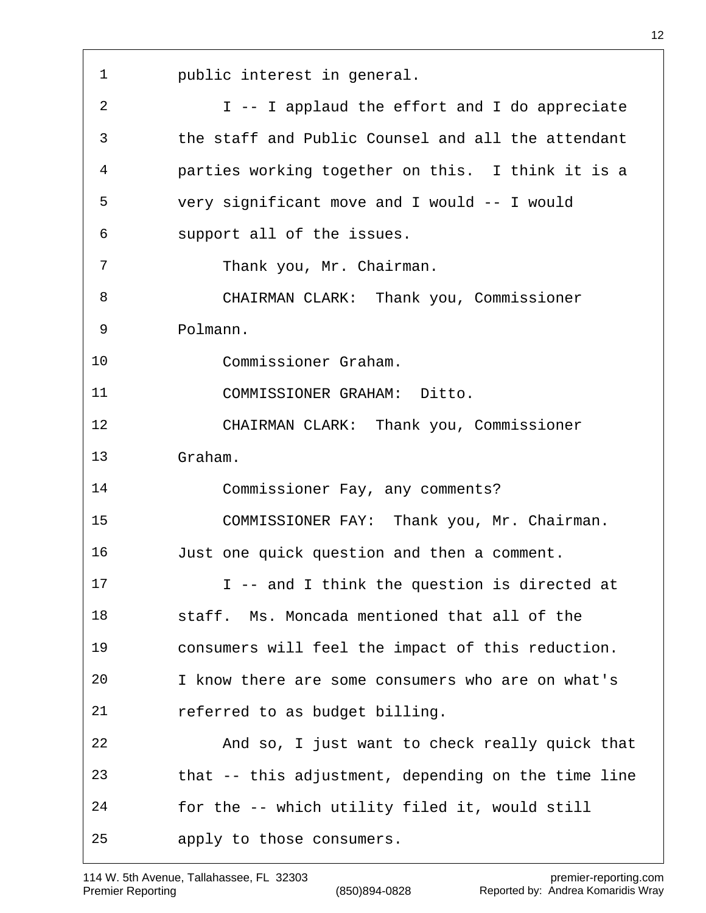public interest in general. I -- I applaud the effort and I do appreciate the staff and Public Counsel and all the attendant parties working together on this. I think it is a very significant move and I would -- I would support all of the issues. 7 Thank you, Mr. Chairman. CHAIRMAN CLARK: Thank you, Commissioner Polmann. Commissioner Graham. COMMISSIONER GRAHAM: Ditto. CHAIRMAN CLARK: Thank you, Commissioner Graham. Commissioner Fay, any comments? COMMISSIONER FAY: Thank you, Mr. Chairman. Just one quick question and then a comment. I -- and I think the question is directed at staff. Ms. Moncada mentioned that all of the consumers will feel the impact of this reduction. I know there are some consumers who are on what's referred to as budget billing. And so, I just want to check really quick that that -- this adjustment, depending on the time line for the -- which utility filed it, would still apply to those consumers.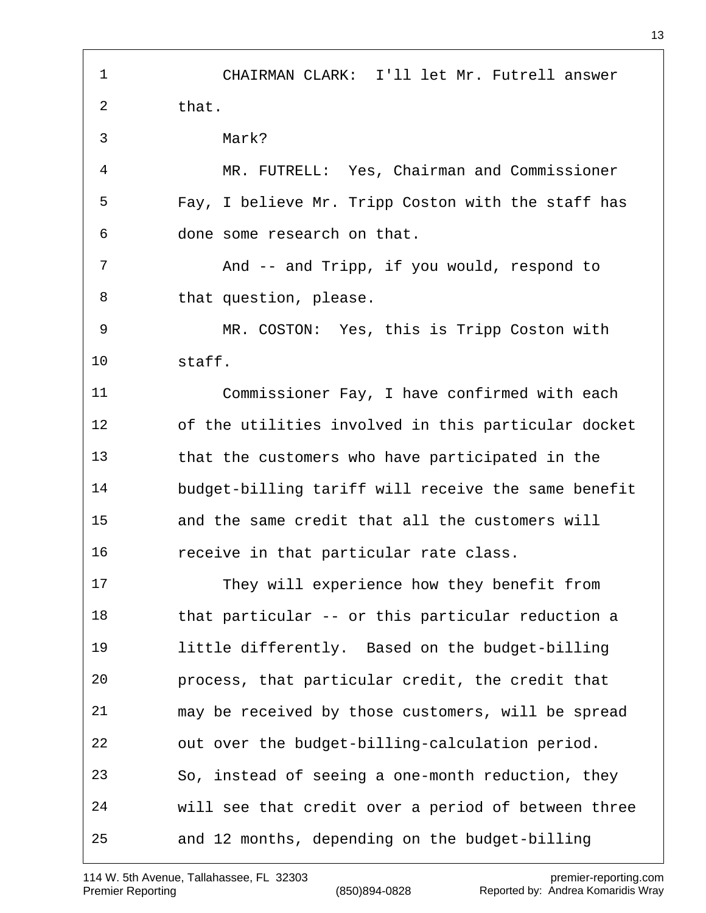CHAIRMAN CLARK: I'll let Mr. Futrell answer that. Mark? MR. FUTRELL: Yes, Chairman and Commissioner Fay, I believe Mr. Tripp Coston with the staff has done some research on that. 7 And -- and Tripp, if you would, respond to 8 that question, please. MR. COSTON: Yes, this is Tripp Coston with staff. Commissioner Fay, I have confirmed with each of the utilities involved in this particular docket that the customers who have participated in the budget-billing tariff will receive the same benefit and the same credit that all the customers will receive in that particular rate class. They will experience how they benefit from that particular -- or this particular reduction a little differently. Based on the budget-billing process, that particular credit, the credit that may be received by those customers, will be spread out over the budget-billing-calculation period. So, instead of seeing a one-month reduction, they will see that credit over a period of between three and 12 months, depending on the budget-billing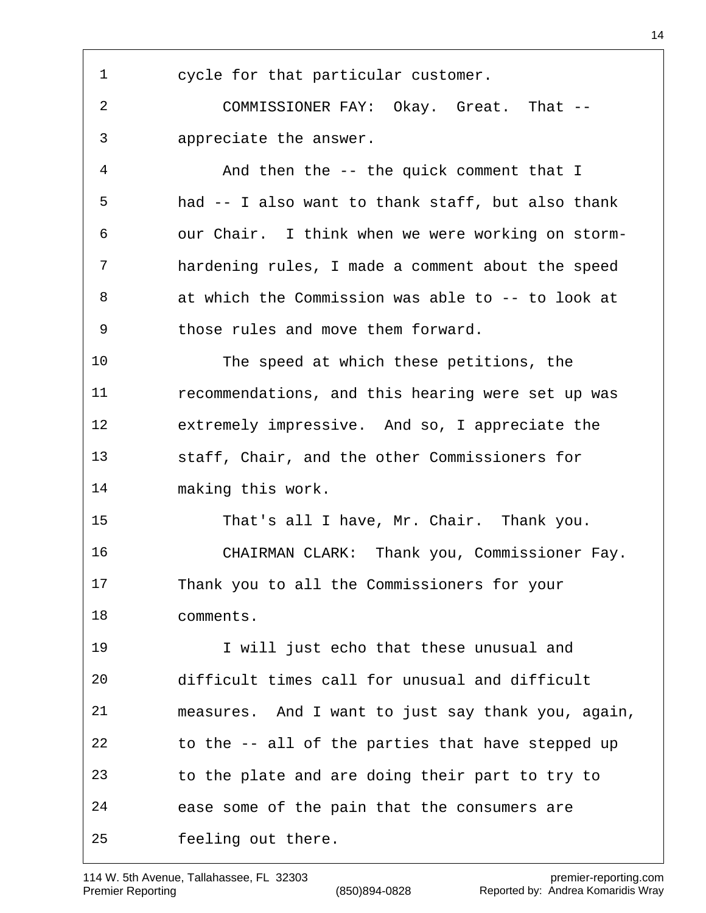cycle for that particular customer. COMMISSIONER FAY: Okay. Great. That -- appreciate the answer. And then the -- the quick comment that I had -- I also want to thank staff, but also thank our Chair. I think when we were working on storm- hardening rules, I made a comment about the speed at which the Commission was able to -- to look at those rules and move them forward. The speed at which these petitions, the recommendations, and this hearing were set up was extremely impressive. And so, I appreciate the staff, Chair, and the other Commissioners for making this work. That's all I have, Mr. Chair. Thank you. CHAIRMAN CLARK: Thank you, Commissioner Fay. Thank you to all the Commissioners for your comments. I will just echo that these unusual and difficult times call for unusual and difficult measures. And I want to just say thank you, again, to the -- all of the parties that have stepped up to the plate and are doing their part to try to ease some of the pain that the consumers are feeling out there.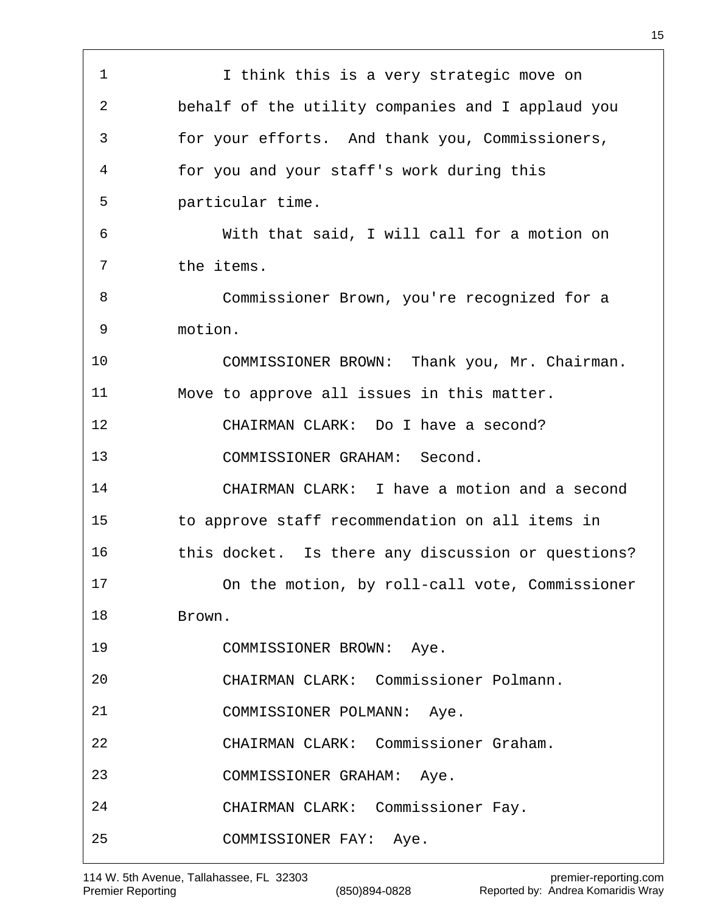1 1 I think this is a very strategic move on behalf of the utility companies and I applaud you for your efforts. And thank you, Commissioners, for you and your staff's work during this particular time. With that said, I will call for a motion on the items. Commissioner Brown, you're recognized for a motion. COMMISSIONER BROWN: Thank you, Mr. Chairman. Move to approve all issues in this matter. CHAIRMAN CLARK: Do I have a second? COMMISSIONER GRAHAM: Second. CHAIRMAN CLARK: I have a motion and a second to approve staff recommendation on all items in this docket. Is there any discussion or questions? On the motion, by roll-call vote, Commissioner Brown. COMMISSIONER BROWN: Aye. CHAIRMAN CLARK: Commissioner Polmann. COMMISSIONER POLMANN: Aye. CHAIRMAN CLARK: Commissioner Graham. COMMISSIONER GRAHAM: Aye. CHAIRMAN CLARK: Commissioner Fay. COMMISSIONER FAY: Aye.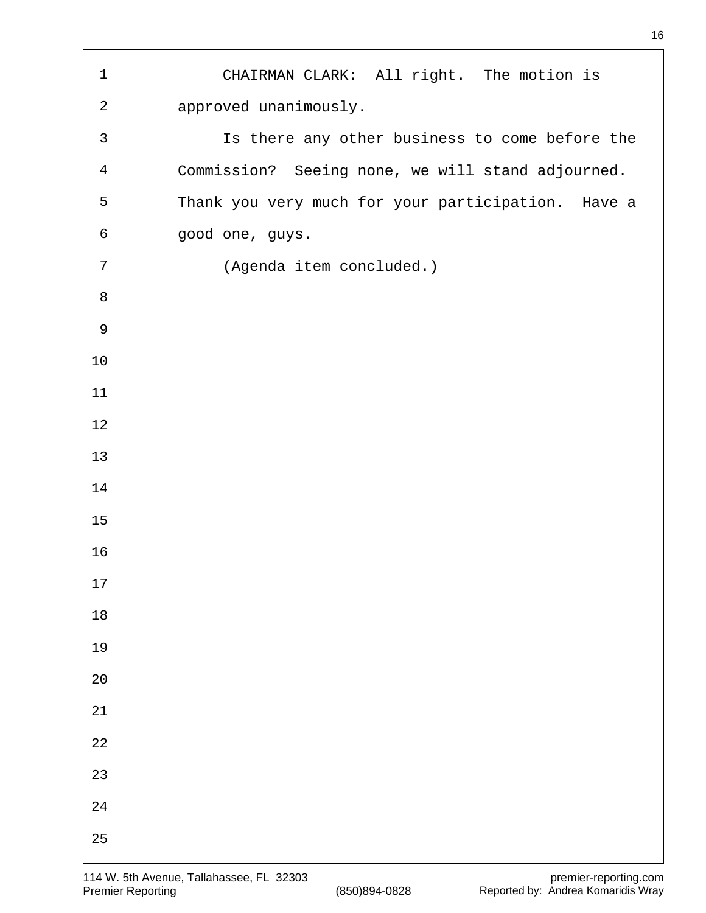| $\mathbf 1$    | CHAIRMAN CLARK: All right. The motion is           |
|----------------|----------------------------------------------------|
| $\overline{a}$ | approved unanimously.                              |
| $\mathsf{3}$   | Is there any other business to come before the     |
| $\overline{4}$ | Commission? Seeing none, we will stand adjourned.  |
| 5              | Thank you very much for your participation. Have a |
| 6              | good one, guys.                                    |
| 7              | (Agenda item concluded.)                           |
| 8              |                                                    |
| $\mathsf 9$    |                                                    |
| 10             |                                                    |
| 11             |                                                    |
| 12             |                                                    |
| 13             |                                                    |
| 14             |                                                    |
| 15             |                                                    |
| 16             |                                                    |
| $17$           |                                                    |
| $18\,$         |                                                    |
| 19             |                                                    |
| $2\,0$         |                                                    |
| $2\sqrt{1}$    |                                                    |
| $2\sqrt{2}$    |                                                    |
| 23             |                                                    |
| $2\sqrt{4}$    |                                                    |
| 25             |                                                    |